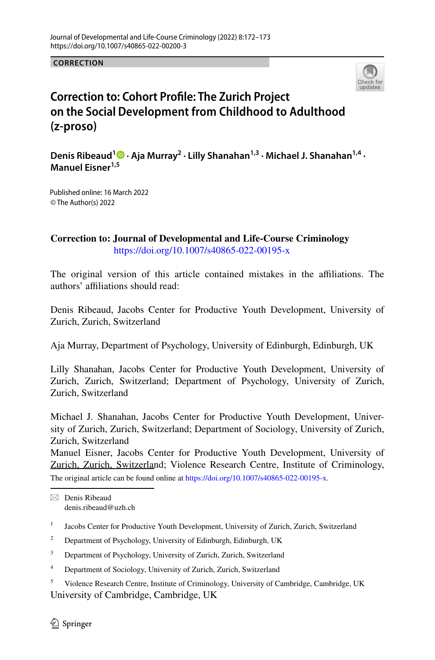**CORRECTION**



## **Correction to: Cohort Profle: The Zurich Project on the Social Development from Childhood to Adulthood (z‑proso)**

**Denis Ribeaud1 · Aja Murray<sup>2</sup> · Lilly Shanahan1,3 · Michael J. Shanahan1,4 · Manuel Eisner1,5**

© The Author(s) 2022 Published online: 16 March 2022

**Correction to: Journal of Developmental and Life-Course Criminology** <https://doi.org/10.1007/s40865-022-00195-x>

The original version of this article contained mistakes in the afliations. The authors' affiliations should read:

Denis Ribeaud, Jacobs Center for Productive Youth Development, University of Zurich, Zurich, Switzerland

Aja Murray, Department of Psychology, University of Edinburgh, Edinburgh, UK

Lilly Shanahan, Jacobs Center for Productive Youth Development, University of Zurich, Zurich, Switzerland; Department of Psychology, University of Zurich, Zurich, Switzerland

Michael J. Shanahan, Jacobs Center for Productive Youth Development, University of Zurich, Zurich, Switzerland; Department of Sociology, University of Zurich, Zurich, Switzerland

Manuel Eisner, Jacobs Center for Productive Youth Development, University of Zurich, Zurich, Switzerland; Violence Research Centre, Institute of Criminology, The original article can be found online at <https://doi.org/10.1007/s40865-022-00195-x>.

 $\boxtimes$  Denis Ribeaud denis.ribeaud@uzh.ch

<sup>1</sup> Jacobs Center for Productive Youth Development, University of Zurich, Zurich, Switzerland

<sup>2</sup> Department of Psychology, University of Edinburgh, Edinburgh, UK

<sup>3</sup> Department of Psychology, University of Zurich, Zurich, Switzerland

<sup>4</sup> Department of Sociology, University of Zurich, Zurich, Switzerland

University of Cambridge, Cambridge, UK <sup>5</sup> Violence Research Centre, Institute of Criminology, University of Cambridge, Cambridge, UK